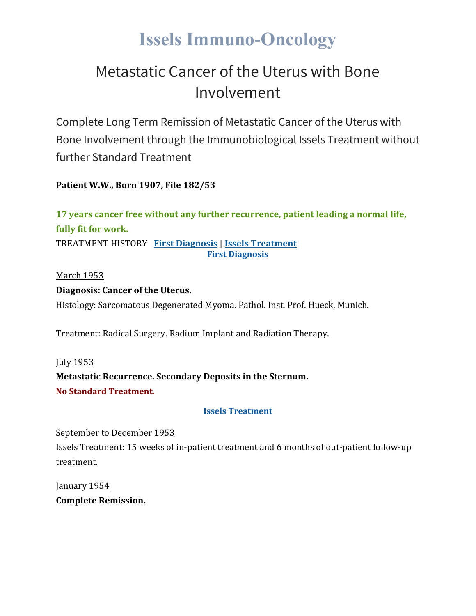# **Issels Immuno-Oncology**

### Metastatic Cancer of the Uterus with Bone Involvement

Complete Long Term Remission of Metastatic Cancer of the Uterus with Bone Involvement through the Immunobiological Issels Treatment without further Standard Treatment

**Patient W.W., Born 1907, File 182/53**

**17 years cancer free without any further recurrence, patient leading a normal life, fully fit for work.** TREATMENT HISTORY **First [Diagnosis](https://issels.com/cancer-cases/uterine-1-metastatic-cancer-of-uterus-with-bone-involvement/#First)** | **Issels [Treatment](https://issels.com/cancer-cases/uterine-1-metastatic-cancer-of-uterus-with-bone-involvement/#Issels) First Diagnosis**

March 1953

#### **Diagnosis: Cancer of the Uterus.**

Histology: Sarcomatous Degenerated Myoma. Pathol. Inst. Prof. Hueck, Munich.

Treatment: Radical Surgery. Radium Implant and Radiation Therapy.

July 1953 **Metastatic Recurrence. Secondary Deposits in the Sternum. No Standard Treatment.**

#### **Issels Treatment**

September to December 1953 Issels Treatment: 15 weeks of in-patient treatment and 6 months of out-patient follow-up treatment.

January 1954 **Complete Remission.**